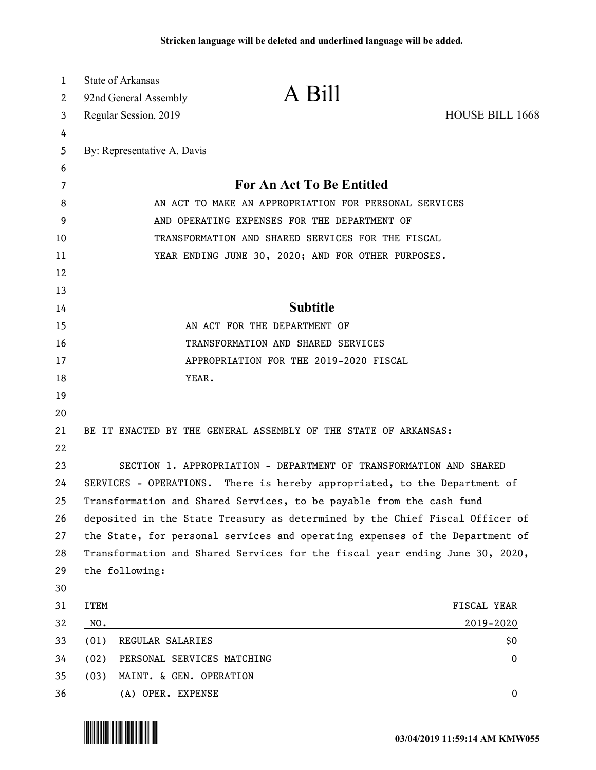| 1        | <b>State of Arkansas</b>                                                                                |                                                                      |                        |  |
|----------|---------------------------------------------------------------------------------------------------------|----------------------------------------------------------------------|------------------------|--|
| 2        | 92nd General Assembly                                                                                   | A Bill                                                               |                        |  |
| 3        | Regular Session, 2019                                                                                   |                                                                      | <b>HOUSE BILL 1668</b> |  |
| 4        |                                                                                                         |                                                                      |                        |  |
| 5        | By: Representative A. Davis                                                                             |                                                                      |                        |  |
| 6        |                                                                                                         |                                                                      |                        |  |
| 7        | For An Act To Be Entitled                                                                               |                                                                      |                        |  |
| 8        | AN ACT TO MAKE AN APPROPRIATION FOR PERSONAL SERVICES                                                   |                                                                      |                        |  |
| 9        | AND OPERATING EXPENSES FOR THE DEPARTMENT OF                                                            |                                                                      |                        |  |
| 10       | TRANSFORMATION AND SHARED SERVICES FOR THE FISCAL<br>YEAR ENDING JUNE 30, 2020; AND FOR OTHER PURPOSES. |                                                                      |                        |  |
| 11<br>12 |                                                                                                         |                                                                      |                        |  |
| 13       |                                                                                                         |                                                                      |                        |  |
| 14       |                                                                                                         | <b>Subtitle</b>                                                      |                        |  |
| 15       | AN ACT FOR THE DEPARTMENT OF                                                                            |                                                                      |                        |  |
| 16       | TRANSFORMATION AND SHARED SERVICES                                                                      |                                                                      |                        |  |
| 17       | APPROPRIATION FOR THE 2019-2020 FISCAL                                                                  |                                                                      |                        |  |
| 18       | YEAR.                                                                                                   |                                                                      |                        |  |
| 19       |                                                                                                         |                                                                      |                        |  |
| 20       |                                                                                                         |                                                                      |                        |  |
| 21       | BE IT ENACTED BY THE GENERAL ASSEMBLY OF THE STATE OF ARKANSAS:                                         |                                                                      |                        |  |
| 22       |                                                                                                         |                                                                      |                        |  |
| 23       | SECTION 1. APPROPRIATION - DEPARTMENT OF TRANSFORMATION AND SHARED                                      |                                                                      |                        |  |
| 24       | SERVICES - OPERATIONS. There is hereby appropriated, to the Department of                               |                                                                      |                        |  |
| 25       |                                                                                                         | Transformation and Shared Services, to be payable from the cash fund |                        |  |
| 26       | deposited in the State Treasury as determined by the Chief Fiscal Officer of                            |                                                                      |                        |  |
| 27       | the State, for personal services and operating expenses of the Department of                            |                                                                      |                        |  |
| 28       | Transformation and Shared Services for the fiscal year ending June 30, 2020,                            |                                                                      |                        |  |
| 29       | the following:                                                                                          |                                                                      |                        |  |
| 30       |                                                                                                         |                                                                      |                        |  |
| 31       | <b>ITEM</b>                                                                                             |                                                                      | FISCAL YEAR            |  |
| 32       | NO.                                                                                                     |                                                                      | 2019-2020              |  |
| 33       | (01)<br>REGULAR SALARIES                                                                                |                                                                      | \$0                    |  |
| 34       | (02)<br>PERSONAL SERVICES MATCHING                                                                      |                                                                      | $\bf{0}$               |  |
| 35       | (03)<br>MAINT. & GEN. OPERATION                                                                         |                                                                      | 0                      |  |
| 36       | (A) OPER. EXPENSE                                                                                       |                                                                      |                        |  |